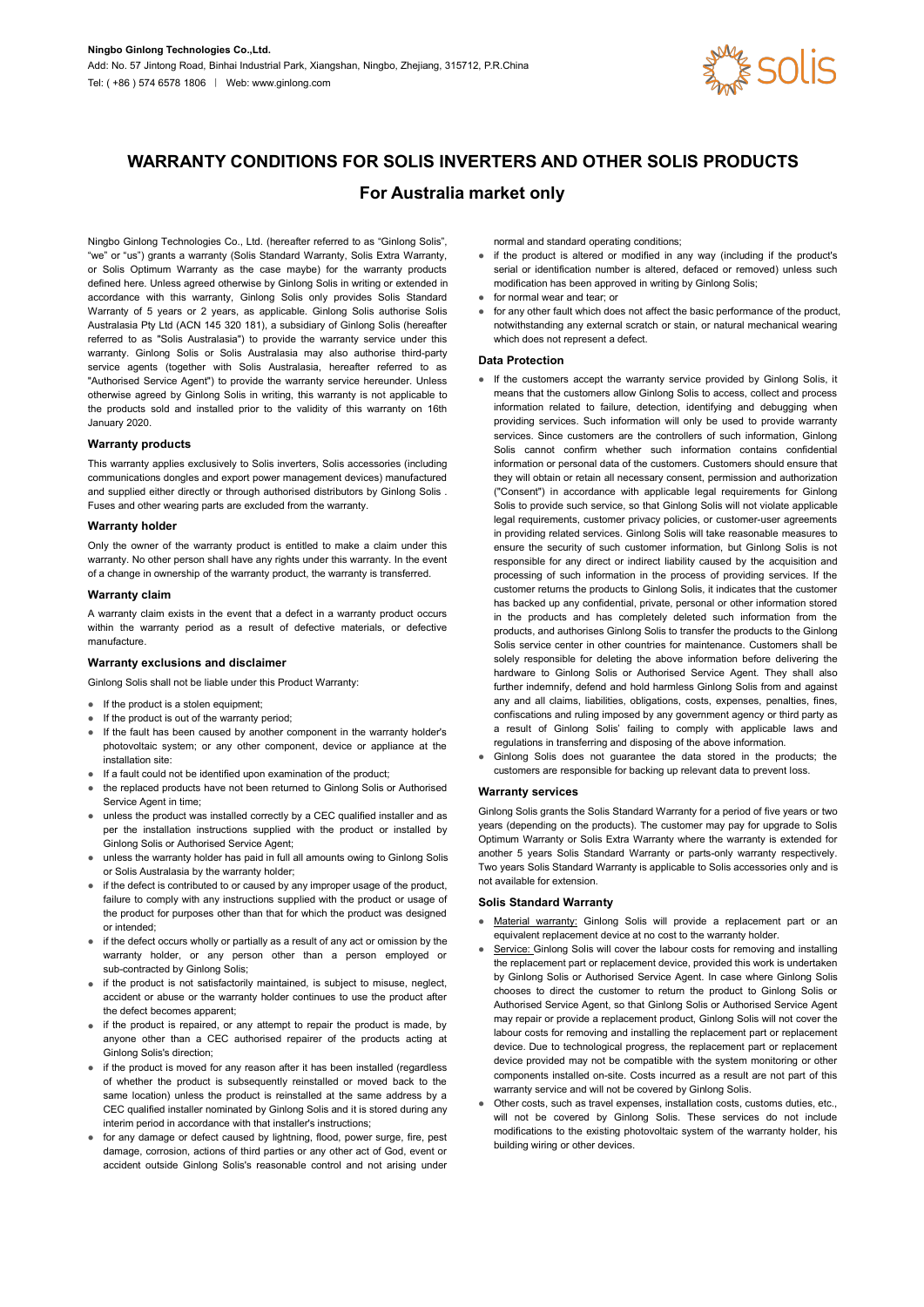

# **WARRANTY CONDITIONS FOR SOLIS INVERTERS AND OTHER SOLIS PRODUCTS**

# **For Australia market only**

Ningbo Ginlong Technologies Co., Ltd. (hereafter referred to as "Ginlong Solis", "we" or "us") grants a warranty (Solis Standard Warranty, Solis Extra Warranty, or Solis Optimum Warranty as the case maybe) for the warranty products defined here. Unless agreed otherwise by Ginlong Solis in writing or extended in accordance with this warranty, Ginlong Solis only provides Solis Standard Warranty of 5 years or 2 years, as applicable. Ginlong Solis authorise Solis Australasia Pty Ltd (ACN 145 320 181), a subsidiary of Ginlong Solis (hereafter referred to as "Solis Australasia") to provide the warranty service under this warranty. Ginlong Solis or Solis Australasia may also authorise third-party service agents (together with Solis Australasia, hereafter referred to as "Authorised Service Agent") to provide the warranty service hereunder. Unless otherwise agreed by Ginlong Solis in writing, this warranty is not applicable to the products sold and installed prior to the validity of this warranty on 16th January 2020.

### **Warranty products**

This warranty applies exclusively to Solis inverters, Solis accessories (including communications dongles and export power management devices) manufactured and supplied either directly or through authorised distributors by Ginlong Solis . Fuses and other wearing parts are excluded from the warranty.

### **Warranty holder**

Only the owner of the warranty product is entitled to make a claim under this warranty. No other person shall have any rights under this warranty. In the event of a change in ownership of the warranty product, the warranty is transferred.

#### **Warranty claim**

A warranty claim exists in the event that a defect in a warranty product occurs within the warranty period as a result of defective materials, or defective manufacture.

# **Warranty exclusions and disclaimer**

Ginlong Solis shall not be liable under this Product Warranty:

- If the product is a stolen equipment;
- If the product is out of the warranty period;
- If the fault has been caused by another component in the warranty holder's photovoltaic system; or any other component, device or appliance at the installation site:
- If a fault could not be identified upon examination of the product;
- the replaced products have not been returned to Ginlong Solis or Authorised Service Agent in time;
- unless the product was installed correctly by a CEC qualified installer and as per the installation instructions supplied with the product or installed by Ginlong Solis or Authorised Service Agent;
- unless the warranty holder has paid in full all amounts owing to Ginlong Solis or Solis Australasia by the warranty holder;
- If the defect is contributed to or caused by any improper usage of the product, not available for extension. failure to comply with any instructions supplied with the product or usage of the product for purposes other than that for which the product was designed or intended;
- if the defect occurs wholly or partially as a result of any act or omission by the warranty holder, or any person other than a person employed or sub-contracted by Ginlong Solis;
- if the product is not satisfactorily maintained, is subject to misuse, neglect, accident or abuse or the warranty holder continues to use the product after the defect becomes apparent;
- $\bullet$  if the product is repaired, or any attempt to repair the product is made, by anyone other than a CEC authorised repairer of the products acting at Ginlong Solis's direction;
- if the product is moved for any reason after it has been installed (regardless of whether the product is subsequently reinstalled or moved back to the same location) unless the product is reinstalled at the same address by a CEC qualified installer nominated by Ginlong Solis and it is stored during any interim period in accordance with that installer's instructions;
- for any damage or defect caused by lightning, flood, power surge, fire, pest damage, corrosion, actions of third parties or any other actof God, event or accident outside Ginlong Solis's reasonable control and not arising under

normal and standard operating conditions;

- if the product is altered or modified in any way (including if the product's serial or identification number is altered, defaced or removed) unless such modification has been approved in writing by Ginlong Solis;
- for normal wear and tear; or
- for any other fault which does not affect the basic performance of the product, notwithstanding any external scratch or stain, or natural mechanical wearing which does not represent a defect

#### **Data Protection**

- If the customers accept the warranty service provided by Ginlong Solis, it means that the customers allow Ginlong Solis to access, collect and process information related to failure, detection, identifying and debugging when providing services. Such information will only be used to provide warranty services. Since customers are the controllers of such information, Ginlong Solis cannot confirm whether such information contains confidential information or personal data of the customers. Customers should ensure that they will obtain or retain all necessary consent, permission and authorization ("Consent") in accordance with applicable legal requirements for Ginlong Solis to provide such service, so that Ginlong Solis will not violate applicable legal requirements, customer privacy policies, or customer-user agreements in providing related services. Ginlong Solis will take reasonable measures to ensure the security of such customer information, but Ginlong Solis is not responsible for any direct or indirect liability caused by the acquisition and processing of such information in the process of providing services. If the customer returns the products to Ginlong Solis, it indicates that the customer has backed up any confidential, private, personal or other information stored in the products and has completely deleted such information from the products, and authorises Ginlong Solis to transfer the products to the Ginlong Solis service center in other countries for maintenance. Customers shall be solely responsible for deleting the above information before delivering the hardware to Ginlong Solis or Authorised Service Agent. They shall also further indemnify, defend and hold harmless Ginlong Solis from and against any and all claims, liabilities, obligations, costs, expenses, penalties, fines, confiscations and ruling imposed by any government agency or third party as a result of Ginlong Solis' failing to comply with applicable laws and regulations in transferring and disposing of the above information.
- Ginlong Solis does not guarantee the data stored in the products; the customers are responsible for backing up relevant data to prevent loss.

#### **Warranty services**

Ginlong Solis grants the Solis Standard Warranty for a period of five years or two years (depending on the products). The customer may pay for upgrade to Solis Optimum Warranty or Solis Extra Warranty where the warranty is extended for another 5 years Solis Standard Warranty or parts-only warranty respectively. Two years Solis Standard Warranty is applicable to Solis accessories only and is

#### **Solis Standard Warranty**

- Material warranty: Ginlong Solis will provide a replacement part or an equivalent replacement device at no cost to the warranty holder.
- Service: Ginlong Solis will cover the labour costs for removing and installing the replacement part or replacement device, provided this work is undertaken by Ginlong Solis or Authorised Service Agent. In case where Ginlong Solis chooses to direct the customer to return the product to Ginlong Solis or Authorised Service Agent, so that Ginlong Solis or Authorised Service Agent may repair or provide a replacement product, Ginlong Solis will not cover the labour costs for removing and installing the replacement part or replacement device. Due to technological progress, the replacement part or replacement device provided may not be compatible with the system monitoring or other components installed on-site. Costs incurred as a result are not part of this warranty service and will not be covered by Ginlong Solis.
- Other costs, such as travel expenses, installation costs, customs duties, etc., will not be covered by Ginlong Solis. These services do not include modifications to the existing photovoltaic system of the warranty holder, his building wiring or other devices.